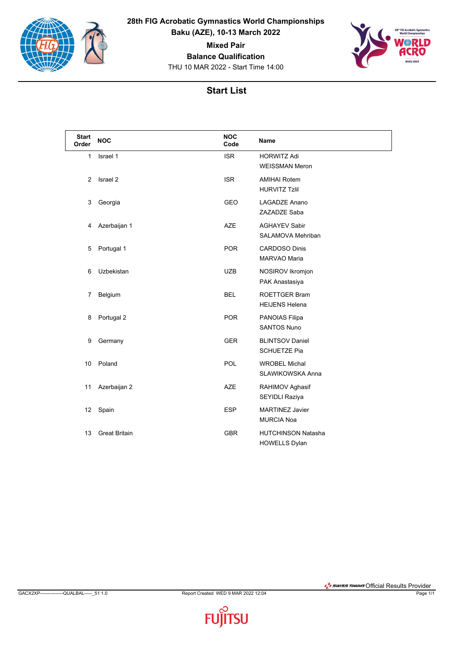

**28th FIG Acrobatic Gymnastics World Championships Baku (AZE), 10-13 March 2022**

**Mixed Pair**

**Balance Qualification**

THU 10 MAR 2022 - Start Time 14:00



## **Start List**

| <b>Start</b><br>Order | <b>NOC</b>           | <b>NOC</b><br>Code | <b>Name</b>                                       |
|-----------------------|----------------------|--------------------|---------------------------------------------------|
| $\mathbf{1}$          | Israel 1             | <b>ISR</b>         | <b>HORWITZ Adi</b><br><b>WEISSMAN Meron</b>       |
| 2                     | Israel 2             | <b>ISR</b>         | <b>AMIHAI Rotem</b><br><b>HURVITZ Tzlil</b>       |
| 3                     | Georgia              | <b>GEO</b>         | <b>LAGADZE Anano</b><br>ZAZADZE Saba              |
| 4                     | Azerbaijan 1         | <b>AZE</b>         | <b>AGHAYEV Sabir</b><br>SALAMOVA Mehriban         |
| 5                     | Portugal 1           | <b>POR</b>         | <b>CARDOSO Dinis</b><br><b>MARVAO Maria</b>       |
| 6                     | Uzbekistan           | <b>UZB</b>         | NOSIROV Ikromjon<br>PAK Anastasiya                |
| $\overline{7}$        | Belgium              | <b>BEL</b>         | <b>ROETTGER Bram</b><br><b>HEIJENS Helena</b>     |
| 8                     | Portugal 2           | <b>POR</b>         | PANOIAS Filipa<br><b>SANTOS Nuno</b>              |
| 9                     | Germany              | <b>GER</b>         | <b>BLINTSOV Daniel</b><br><b>SCHUETZE Pia</b>     |
| 10                    | Poland               | <b>POL</b>         | <b>WROBEL Michal</b><br>SLAWIKOWSKA Anna          |
| 11                    | Azerbaijan 2         | <b>AZE</b>         | RAHIMOV Aghasif<br>SEYIDLI Raziya                 |
| 12                    | Spain                | <b>ESP</b>         | <b>MARTINEZ Javier</b><br><b>MURCIA Noa</b>       |
| 13                    | <b>Great Britain</b> | <b>GBR</b>         | <b>HUTCHINSON Natasha</b><br><b>HOWELLS Dylan</b> |